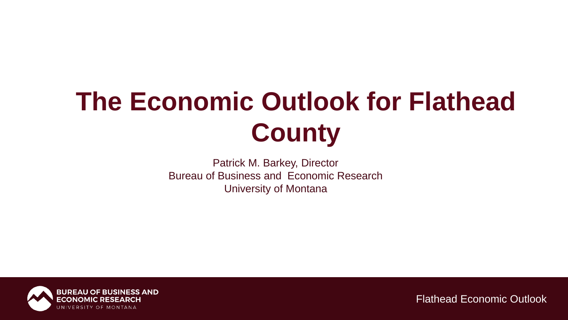# **The Economic Outlook for Flathead County**

Patrick M. Barkey, Director Bureau of Business and Economic Research University of Montana

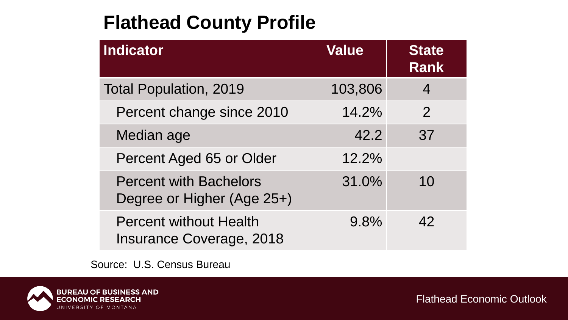## **Flathead County Profile**

| <b>Indicator</b>                                                 | <b>Value</b> | <b>State</b><br><b>Rank</b> |
|------------------------------------------------------------------|--------------|-----------------------------|
| <b>Total Population, 2019</b>                                    | 103,806      | 4                           |
| Percent change since 2010                                        | 14.2%        | $\overline{2}$              |
| Median age                                                       | 42.2         | 37                          |
| Percent Aged 65 or Older                                         | 12.2%        |                             |
| <b>Percent with Bachelors</b><br>Degree or Higher (Age 25+)      | 31.0%        | 10                          |
| <b>Percent without Health</b><br><b>Insurance Coverage, 2018</b> | 9.8%         | 42                          |

Source: U.S. Census Bureau

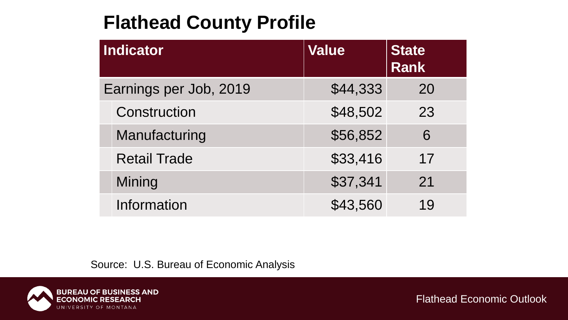## **Flathead County Profile**

|                        | <b>Indicator</b>    | <b>Value</b> | <b>State</b><br><b>Rank</b> |
|------------------------|---------------------|--------------|-----------------------------|
| Earnings per Job, 2019 |                     | \$44,333     | 20                          |
|                        | Construction        | \$48,502     | 23                          |
|                        | Manufacturing       | \$56,852     | 6                           |
|                        | <b>Retail Trade</b> | \$33,416     | 17                          |
|                        | Mining              | \$37,341     | 21                          |
|                        | Information         | \$43,560     | 19                          |

Source: U.S. Bureau of Economic Analysis

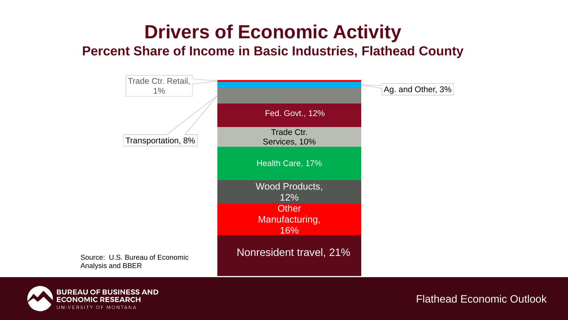# **Drivers of Economic Activity**

#### **Percent Share of Income in Basic Industries, Flathead County**



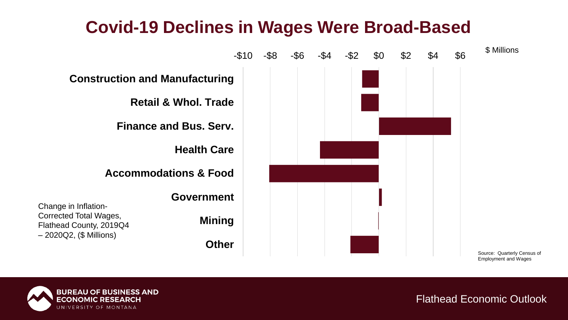### **Covid-19 Declines in Wages Were Broad-Based**



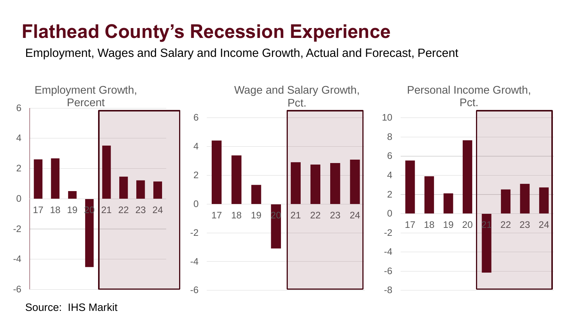## **Flathead County's Recession Experience**

Employment, Wages and Salary and Income Growth, Actual and Forecast, Percent



Source: IHS Markit